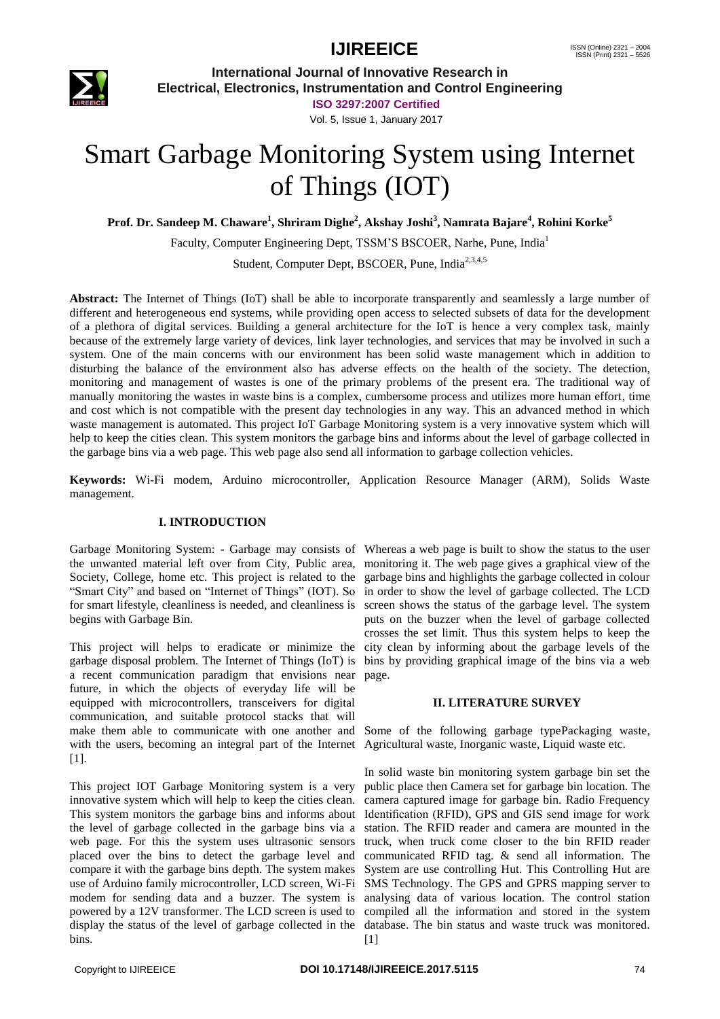## **IJIREEICE** ISSN (Online)  $2321 - 2004$ <br>ISSN (Print)  $2321 - 5526$



**International Journal of Innovative Research in Electrical, Electronics, Instrumentation and Control Engineering**

> **ISO 3297:2007 Certified** Vol. 5, Issue 1, January 2017

# Smart Garbage Monitoring System using Internet of Things (IOT)

**Prof. Dr. Sandeep M. Chaware<sup>1</sup> , Shriram Dighe<sup>2</sup> , Akshay Joshi<sup>3</sup> , Namrata Bajare<sup>4</sup> , Rohini Korke<sup>5</sup>**

Faculty, Computer Engineering Dept, TSSM'S BSCOER, Narhe, Pune, India<sup>1</sup>

Student, Computer Dept, BSCOER, Pune, India<sup>2,3,4,5</sup>

**Abstract:** The Internet of Things (IoT) shall be able to incorporate transparently and seamlessly a large number of different and heterogeneous end systems, while providing open access to selected subsets of data for the development of a plethora of digital services. Building a general architecture for the IoT is hence a very complex task, mainly because of the extremely large variety of devices, link layer technologies, and services that may be involved in such a system. One of the main concerns with our environment has been solid waste management which in addition to disturbing the balance of the environment also has adverse effects on the health of the society. The detection, monitoring and management of wastes is one of the primary problems of the present era. The traditional way of manually monitoring the wastes in waste bins is a complex, cumbersome process and utilizes more human effort, time and cost which is not compatible with the present day technologies in any way. This an advanced method in which waste management is automated. This project IoT Garbage Monitoring system is a very innovative system which will help to keep the cities clean. This system monitors the garbage bins and informs about the level of garbage collected in the garbage bins via a web page. This web page also send all information to garbage collection vehicles.

**Keywords:** Wi-Fi modem, Arduino microcontroller, Application Resource Manager (ARM), Solids Waste management.

#### **I. INTRODUCTION**

Garbage Monitoring System: - Garbage may consists of Whereas a web page is built to show the status to the user the unwanted material left over from City, Public area, monitoring it. The web page gives a graphical view of the Society, College, home etc. This project is related to the garbage bins and highlights the garbage collected in colour "Smart City" and based on "Internet of Things" (IOT). So in order to show the level of garbage collected. The LCD for smart lifestyle, cleanliness is needed, and cleanliness is screen shows the status of the garbage level. The system begins with Garbage Bin.

This project will helps to eradicate or minimize the city clean by informing about the garbage levels of the garbage disposal problem. The Internet of Things (IoT) is bins by providing graphical image of the bins via a web a recent communication paradigm that envisions near future, in which the objects of everyday life will be equipped with microcontrollers, transceivers for digital communication, and suitable protocol stacks that will make them able to communicate with one another and with the users, becoming an integral part of the Internet [Agricultural waste,](https://en.wikipedia.org/wiki/Agricultural_wastewater_treatment) [Inorganic waste,](https://en.wikipedia.org/w/index.php?title=Inorganic_waste&action=edit&redlink=1) [Liquid waste](https://en.wikipedia.org/w/index.php?title=Liquid_waste&action=edit&redlink=1) etc. [1].

This project IOT Garbage Monitoring system is a very innovative system which will help to keep the cities clean. This system monitors the garbage bins and informs about the level of garbage collected in the garbage bins via a web page. For this the system uses ultrasonic sensors placed over the bins to detect the garbage level and compare it with the garbage bins depth. The system makes use of Arduino family microcontroller, LCD screen, Wi-Fi SMS Technology. The GPS and GPRS mapping server to modem for sending data and a buzzer. The system is analysing data of various location. The control station powered by a 12V transformer. The LCD screen is used to compiled all the information and stored in the system display the status of the level of garbage collected in the database. The bin status and waste truck was monitored. bins.

puts on the buzzer when the level of garbage collected crosses the set limit. Thus this system helps to keep the page.

#### **II. LITERATURE SURVEY**

Some of the following garbage typ[ePackaging waste,](https://en.wikipedia.org/w/index.php?title=Packaging_waste&action=edit&redlink=1)

In solid waste bin monitoring system garbage bin set the public place then Camera set for garbage bin location. The camera captured image for garbage bin. Radio Frequency Identification (RFID), GPS and GIS send image for work station. The RFID reader and camera are mounted in the truck, when truck come closer to the bin RFID reader communicated RFID tag. & send all information. The System are use controlling Hut. This Controlling Hut are [1]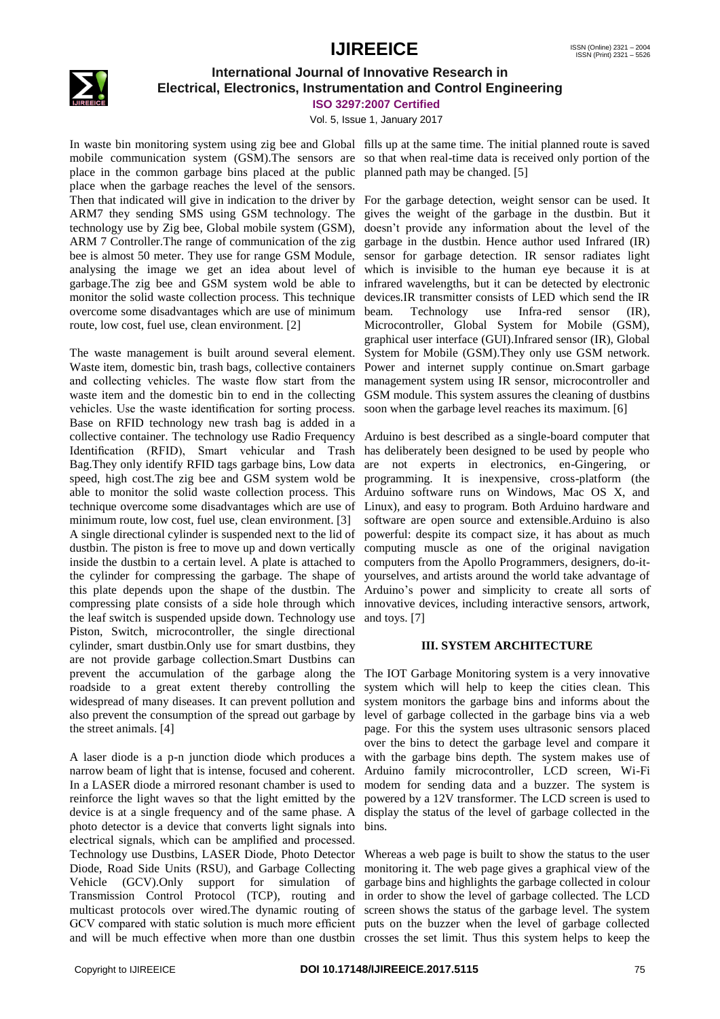

### **International Journal of Innovative Research in Electrical, Electronics, Instrumentation and Control Engineering**

**ISO 3297:2007 Certified**

Vol. 5, Issue 1, January 2017

In waste bin monitoring system using zig bee and Global fills up at the same time. The initial planned route is saved mobile communication system (GSM).The sensors are so that when real-time data is received only portion of the place in the common garbage bins placed at the public planned path may be changed. [5] place when the garbage reaches the level of the sensors. Then that indicated will give in indication to the driver by For the garbage detection, weight sensor can be used. It ARM7 they sending SMS using GSM technology. The gives the weight of the garbage in the dustbin. But it technology use by Zig bee, Global mobile system (GSM), doesn't provide any information about the level of the ARM 7 Controller.The range of communication of the zig garbage in the dustbin. Hence author used Infrared (IR) bee is almost 50 meter. They use for range GSM Module, sensor for garbage detection. IR sensor radiates light analysing the image we get an idea about level of which is invisible to the human eye because it is at garbage.The zig bee and GSM system wold be able to infrared wavelengths, but it can be detected by electronic monitor the solid waste collection process. This technique devices.IR transmitter consists of LED which send the IR overcome some disadvantages which are use of minimum route, low cost, fuel use, clean environment. [2]

The waste management is built around several element. Waste item, domestic bin, trash bags, collective containers and collecting vehicles. The waste flow start from the management system using IR sensor, microcontroller and waste item and the domestic bin to end in the collecting GSM module. This system assures the cleaning of dustbins vehicles. Use the waste identification for sorting process. Base on RFID technology new trash bag is added in a collective container. The technology use Radio Frequency Arduino is best described as a single-board computer that Identification (RFID), Smart vehicular and Trash has deliberately been designed to be used by people who Bag.They only identify RFID tags garbage bins, Low data are not experts in electronics, en-Gingering, or speed, high cost.The zig bee and GSM system wold be programming. It is inexpensive, cross-platform (the able to monitor the solid waste collection process. This Arduino software runs on Windows, Mac OS X, and technique overcome some disadvantages which are use of Linux), and easy to program. Both Arduino hardware and minimum route, low cost, fuel use, clean environment. [3] A single directional cylinder is suspended next to the lid of powerful: despite its compact size, it has about as much dustbin. The piston is free to move up and down vertically inside the dustbin to a certain level. A plate is attached to the cylinder for compressing the garbage. The shape of this plate depends upon the shape of the dustbin. The compressing plate consists of a side hole through which the leaf switch is suspended upside down. Technology use Piston, Switch, microcontroller, the single directional cylinder, smart dustbin.Only use for smart dustbins, they are not provide garbage collection.Smart Dustbins can prevent the accumulation of the garbage along the roadside to a great extent thereby controlling the widespread of many diseases. It can prevent pollution and also prevent the consumption of the spread out garbage by the street animals. [4]

A laser diode is a p-n junction diode which produces a narrow beam of light that is intense, focused and coherent. In a LASER diode a mirrored resonant chamber is used to reinforce the light waves so that the light emitted by the device is at a single frequency and of the same phase. A photo detector is a device that converts light signals into electrical signals, which can be amplified and processed. Technology use Dustbins, LASER Diode, Photo Detector Diode, Road Side Units (RSU), and Garbage Collecting Vehicle (GCV).Only support for simulation of Transmission Control Protocol (TCP), routing and in order to show the level of garbage collected. The LCD multicast protocols over wired.The dynamic routing of screen shows the status of the garbage level. The system GCV compared with static solution is much more efficient puts on the buzzer when the level of garbage collected and will be much effective when more than one dustbin crosses the set limit. Thus this system helps to keep the

Technology use Infra-red sensor (IR), Microcontroller, Global System for Mobile (GSM), graphical user interface (GUI).Infrared sensor (IR), Global System for Mobile (GSM).They only use GSM network. Power and internet supply continue on.Smart garbage soon when the garbage level reaches its maximum. [6]

software are open source and extensible.Arduino is also computing muscle as one of the original navigation computers from the Apollo Programmers, designers, do-ityourselves, and artists around the world take advantage of Arduino's power and simplicity to create all sorts of innovative devices, including interactive sensors, artwork, and toys. [7]

#### **III. SYSTEM ARCHITECTURE**

The IOT Garbage Monitoring system is a very innovative system which will help to keep the cities clean. This system monitors the garbage bins and informs about the level of garbage collected in the garbage bins via a web page. For this the system uses ultrasonic sensors placed over the bins to detect the garbage level and compare it with the garbage bins depth. The system makes use of Arduino family microcontroller, LCD screen, Wi-Fi modem for sending data and a buzzer. The system is powered by a 12V transformer. The LCD screen is used to display the status of the level of garbage collected in the bins.

Whereas a web page is built to show the status to the user monitoring it. The web page gives a graphical view of the garbage bins and highlights the garbage collected in colour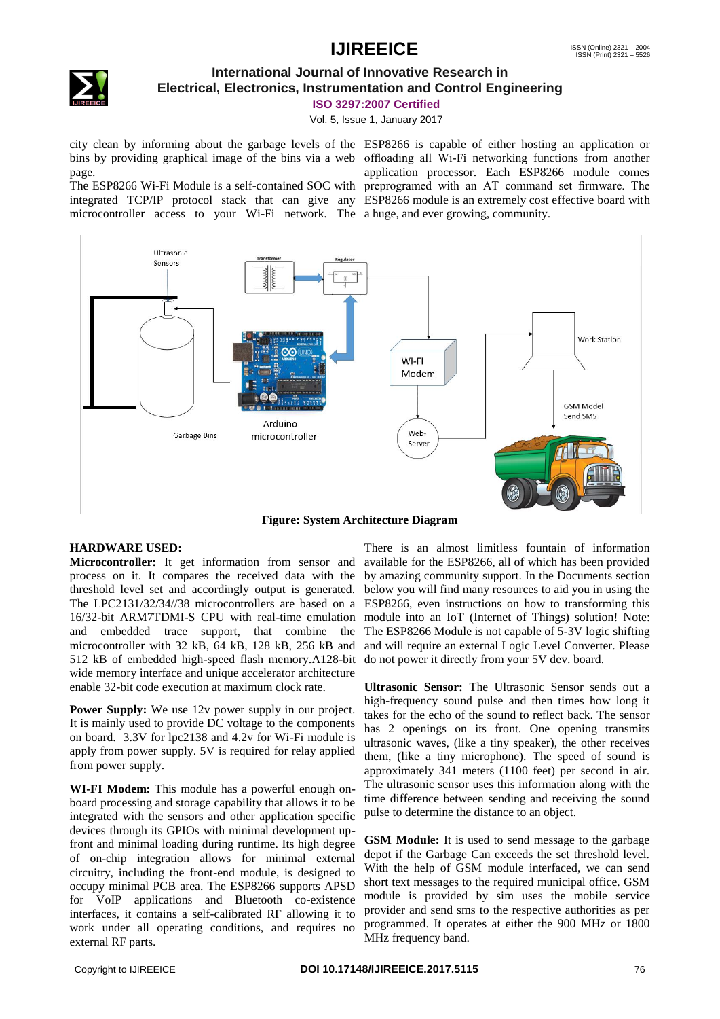## **IJIREEICE** ISSN (Online)  $2321 - 2004$ <br>ISSN (Print)  $2321 - 5526$



## **International Journal of Innovative Research in Electrical, Electronics, Instrumentation and Control Engineering**

**ISO 3297:2007 Certified**

Vol. 5, Issue 1, January 2017

city clean by informing about the garbage levels of the ESP8266 is capable of either hosting an application or bins by providing graphical image of the bins via a web offloading all Wi-Fi networking functions from another page.

The ESP8266 Wi-Fi Module is a self-contained SOC with integrated TCP/IP protocol stack that can give any ESP8266 module is an extremely cost effective board with microcontroller access to your Wi-Fi network. The a huge, and ever growing, community.

application processor. Each ESP8266 module comes preprogramed with an AT command set firmware. The



#### **Figure: System Architecture Diagram**

#### **HARDWARE USED:**

**Microcontroller:** It get information from sensor and process on it. It compares the received data with the threshold level set and accordingly output is generated. The LPC2131/32/34//38 microcontrollers are based on a 16/32-bit ARM7TDMI-S CPU with real-time emulation and embedded trace support, that combine the microcontroller with 32 kB, 64 kB, 128 kB, 256 kB and 512 kB of embedded high-speed flash memory.A128-bit wide memory interface and unique accelerator architecture enable 32-bit code execution at maximum clock rate.

**Power Supply:** We use 12v power supply in our project. It is mainly used to provide DC voltage to the components on board. 3.3V for lpc2138 and 4.2v for Wi-Fi module is apply from power supply. 5V is required for relay applied from power supply.

**WI-FI Modem:** This module has a powerful enough onboard processing and storage capability that allows it to be integrated with the sensors and other application specific devices through its GPIOs with minimal development upfront and minimal loading during runtime. Its high degree of on-chip integration allows for minimal external circuitry, including the front-end module, is designed to occupy minimal PCB area. The ESP8266 supports APSD for VoIP applications and Bluetooth co-existence interfaces, it contains a self-calibrated RF allowing it to work under all operating conditions, and requires no external RF parts.

There is an almost limitless fountain of information available for the ESP8266, all of which has been provided by amazing community support. In the Documents section below you will find many resources to aid you in using the ESP8266, even instructions on how to transforming this module into an IoT (Internet of Things) solution! Note: The ESP8266 Module is not capable of 5-3V logic shifting and will require an external Logic Level Converter. Please do not power it directly from your 5V dev. board.

**Ultrasonic Sensor:** The Ultrasonic Sensor sends out a high-frequency sound pulse and then times how long it takes for the echo of the sound to reflect back. The sensor has 2 openings on its front. One opening transmits ultrasonic waves, (like a tiny speaker), the other receives them, (like a tiny microphone). The speed of sound is approximately 341 meters (1100 feet) per second in air. The ultrasonic sensor uses this information along with the time difference between sending and receiving the sound pulse to determine the distance to an object.

**GSM Module:** It is used to send message to the garbage depot if the Garbage Can exceeds the set threshold level. With the help of GSM module interfaced, we can send short text messages to the required municipal office. GSM module is provided by sim uses the mobile service provider and send sms to the respective authorities as per programmed. It operates at either the 900 MHz or 1800 MHz frequency band.